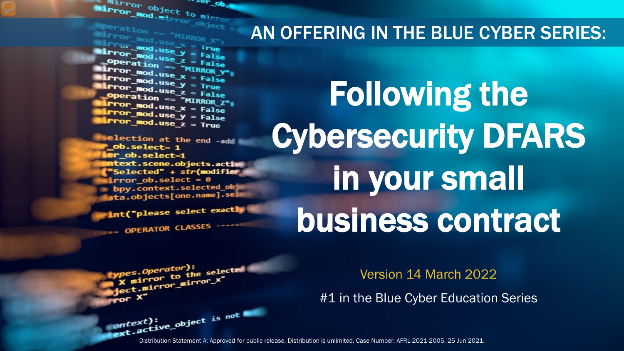Mirror object to mirror .. <sub>re</sub>r op **Encyclopy** object to mi<sub>rro</sub><br>Peration Peration

**Marchation == "MIRROR\_X";<br>Mirror\_mod.use\_X = True"<br>Mirror\_mod.use\_X = True"**  $\begin{array}{rcl} \text{MSE} & \text{AMOR} \ \text{Lip} & \text{C} & \text{MSG} & \text{MSG} \ \text{Lip} & \text{MSG} & \text{Mreg} \ \text{Lip} & \text{Mreg} & \text{Mreg} \ \text{Lip} & \text{Mreg} & \text{Mreg} \ \text{Lip} & \text{Mreg} & \text{Mreg} \ \text{Lip} & \text{Mreg} & \text{Mreg} \ \text{Lip} & \text{Mreg} & \text{Mreg} \ \text{Lip} & \text{Mreg} & \text{Mreg} \ \text{Lip} & \text{Mreg} & \text{Mreg} \ \text{$ Departion == False<br>Peration == "MIRROR\_Y"<br>Irror\_mod.use x **Exaction** == "MIRROR\_Y"<br>**Exaction** = "MIRROR\_Y"<br>**Exaction** = False **Surror\_mod.use\_x = False**<br>**Surror\_mod.use\_y = True**  $\frac{1}{2}$  True<br> $\frac{1}{2}$  True<br> $\frac{1}{2}$  Depending  $\frac{1}{2}$  = False **Operation == "MIRROR\_Z":**<br><u>Letter mod.use : "MIRROR\_Z</u>";  $\begin{array}{rcl} \n\text{Tror\_mod.use\_x} & = & \text{False} \\ \n\text{Tror\_mod.use\_x} & = & \text{False} \\ \n\end{array}$  $I$ Pror\_mod.use\_ $x = False$ <br> $I$ Pror\_mod.use\_ $y = False$  $Irror_modeluse_y = False$ <br> $Irror_modeluse_z = True$ 

election at the end -add \_ob.select= 1 er\_ob.select=1 **itext.scene.objects.activ** "Selected" + str(modifier  $Error_ ob. select =  $0$$ bpy.context.selected\_ob ata.objects[one.name].sel

int("please select exactly OPERATOR CLASSES

Following the Cybersecurity DFARS in your small

AN OFFERING IN THE BLUE CYBER SERIES:

business contract

pes.Operator):<br>n to the e*s.Operator*):<br>mirror\_to\_the\_selected<br>i\_mirror\_mirror\_x" Superior to the server<br>Spect.mirror\_mirror\_x"

Version 14 March 2022

#1 in the Blue Cyber Education Series

Distribution Statement A: Approved for public release. Distribution is unlimited. Case Number: AFRL-2021-2005, 25 Jun 2021.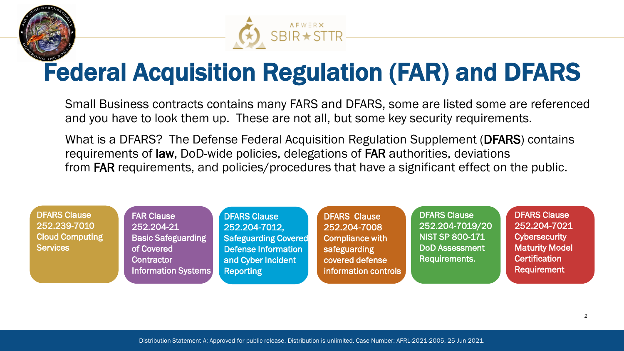



## Federal Acquisition Regulation (FAR) and DFARS

Small Business contracts contains many FARS and DFARS, some are listed some are referenced and you have to look them up. These are not all, but some key security requirements.

What is a DFARS? The Defense Federal Acquisition Regulation Supplement (DFARS) contains requirements of law, DoD-wide policies, delegations of FAR authorities, deviations from FAR requirements, and policies/procedures that have a significant effect on the public.

DFARS Clause 252.239-7010 Cloud Computing **Services** 

FAR Clause 252.204-21 Basic Safeguarding of Covered **Contractor** Information Systems

DFARS Clause 252.204-7012, Safeguarding Covered Defense Information and Cyber Incident Reporting

DFARS Clause 252.204-7008 Compliance with safeguarding covered defense information controls DFARS Clause 252.204-7019/20 NIST SP 800-171 DoD Assessment Requirements.

DFARS Clause 252.204-7021 **Cybersecurity** Maturity Model **Certification** Requirement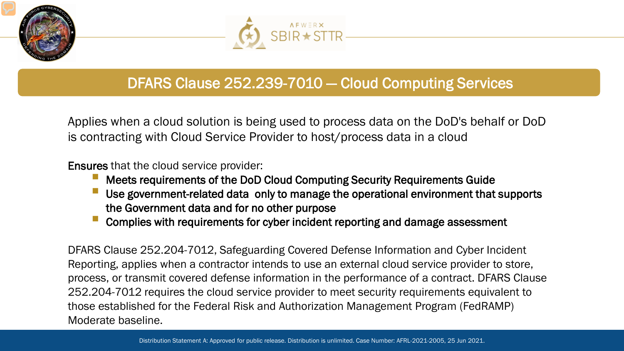



### DFARS Clause 252.239-7010 ― Cloud Computing Services

Applies when a cloud solution is being used to process data on the DoD's behalf or DoD is contracting with Cloud Service Provider to host/process data in a cloud

Ensures that the cloud service provider:

- Meets requirements of the DoD Cloud Computing Security Requirements Guide
- Use government-related data only to manage the operational environment that supports the Government data and for no other purpose
- Complies with requirements for cyber incident reporting and damage assessment

DFARS Clause 252.204-7012, Safeguarding Covered Defense Information and Cyber Incident Reporting, applies when a contractor intends to use an external cloud service provider to store, process, or transmit covered defense information in the performance of a contract. DFARS Clause 252.204-7012 requires the cloud service provider to meet security requirements equivalent to those established for the Federal Risk and Authorization Management Program (FedRAMP) Moderate baseline.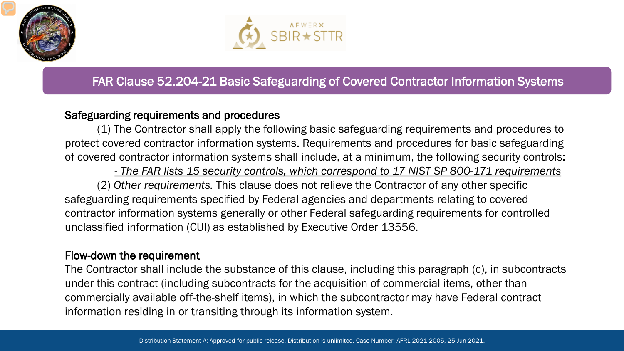



### FAR Clause 52.204-21 Basic Safeguarding of Covered Contractor Information Systems

#### Safeguarding requirements and procedures

(1) The Contractor shall apply the following basic safeguarding requirements and procedures to protect covered contractor information systems. Requirements and procedures for basic safeguarding of covered contractor information systems shall include, at a minimum, the following security controls:

*- The FAR lists 15 security controls, which correspond to 17 NIST SP 800-171 requirements* (2) *Other requirements.* This clause does not relieve the Contractor of any other specific safeguarding requirements specified by Federal agencies and departments relating to covered contractor information systems generally or other Federal safeguarding requirements for controlled unclassified information (CUI) as established by Executive Order 13556.

#### Flow-down the requirement

The Contractor shall include the substance of this clause, including this paragraph (c), in subcontracts under this contract (including subcontracts for the acquisition of commercial items, other than commercially available off-the-shelf items), in which the subcontractor may have Federal contract information residing in or transiting through its information system.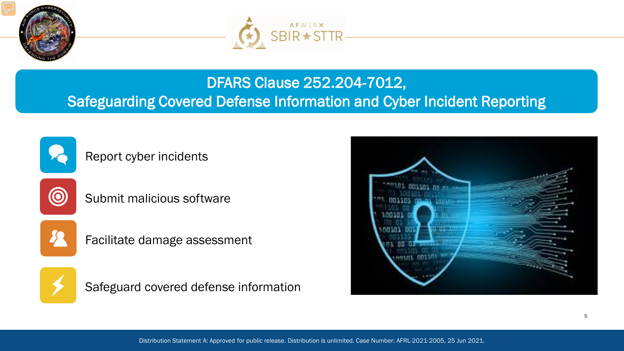



### DFARS Clause 252.204-7012, Safeguarding Covered Defense Information and Cyber Incident Reporting



Report cyber incidents



Submit malicious software



Facilitate damage assessment



Safeguard covered defense information

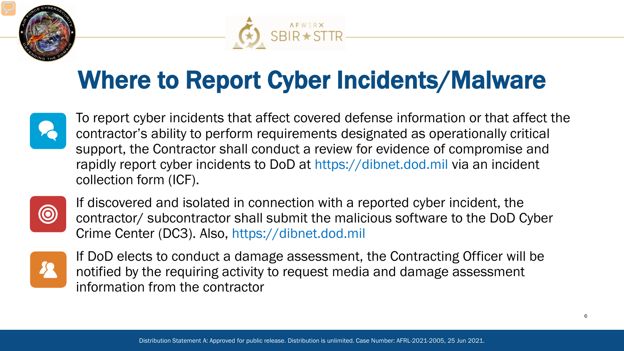



# Where to Report Cyber Incidents/Malware



To report cyber incidents that affect covered defense information or that affect the contractor's ability to perform requirements designated as operationally critical support, the Contractor shall conduct a review for evidence of compromise and rapidly report cyber incidents to DoD at https://dibnet.dod.mil via an incident collection form (ICF).



If discovered and isolated in connection with a reported cyber incident, the contractor/ subcontractor shall submit the malicious software to the DoD Cyber Crime Center (DC3). Also, https://dibnet.dod.mil



If DoD elects to conduct a damage assessment, the Contracting Officer will be notified by the requiring activity to request media and damage assessment information from the contractor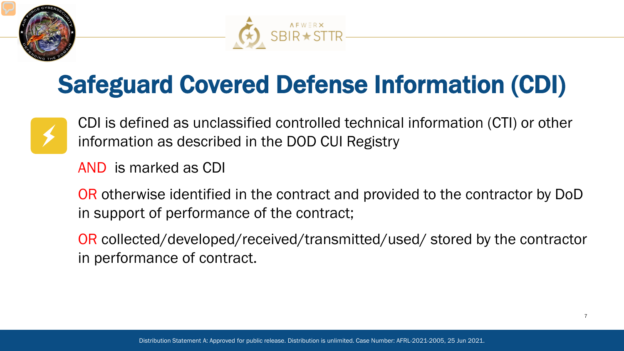



# Safeguard Covered Defense Information (CDI)



CDI is defined as unclassified controlled technical information (CTI) or other information as described in the DOD CUI Registry

AND is marked as CDI

OR otherwise identified in the contract and provided to the contractor by DoD in support of performance of the contract;

OR collected/developed/received/transmitted/used/ stored by the contractor in performance of contract.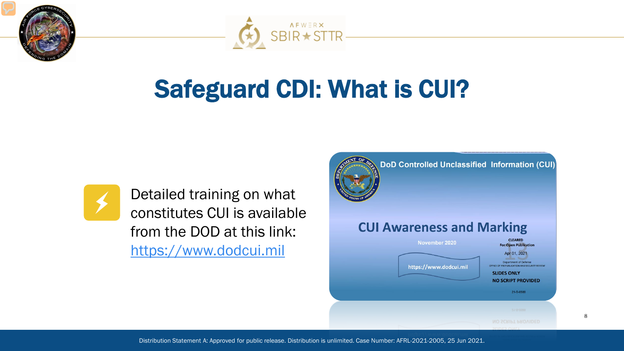



# Safeguard CDI: What is CUI?



Detailed training on what constitutes CUI is available from the DOD at this link: [https://www.dodcui.mil](https://www.dodcui.mil/)



DoD Controlled Unclassified Information (CUI)

#### **CUI Awareness and Marking CLEARED** November 2020 **For Open Publication** Apr 01, 2021 Department of Defense https://www.dodcui.mil **FFICE OF PREPUBLICATION AND SECURITY REVIET SLIDES ONLY NO SCRIPT PROVIDED** 21-S-0588

8

Distribution Statement A: Approved for public release. Distribution is unlimited. Case Number: AFRL-2021-2005, 25 Jun 2021.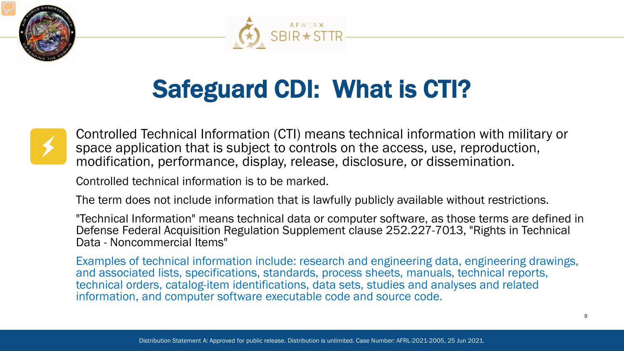



# Safeguard CDI: What is CTI?



Controlled Technical Information (CTI) means technical information with military or space application that is subject to controls on the access, use, reproduction, modification, performance, display, release, disclosure, or dissemination.

Controlled technical information is to be marked.

The term does not include information that is lawfully publicly available without restrictions.

"Technical Information" means technical data or computer software, as those terms are defined in Defense Federal Acquisition Regulation Supplement clause 252.227-7013, "Rights in Technical Data - Noncommercial Items"

Examples of technical information include: research and engineering data, engineering drawings, and associated lists, specifications, standards, process sheets, manuals, technical reports, technical orders, catalog-item identifications, data sets, studies and analyses and related information, and computer software executable code and source code.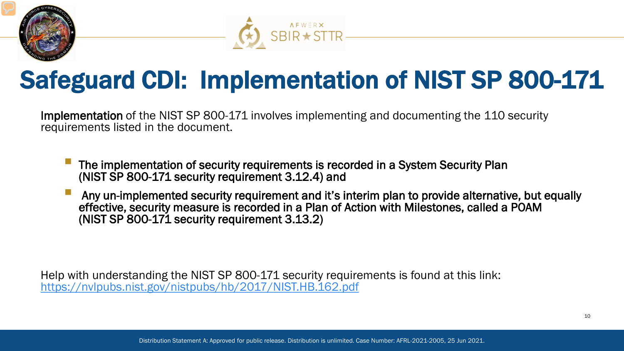



## Safeguard CDI: Implementation of NIST SP 800-171

Implementation of the NIST SP 800-171 involves implementing and documenting the 110 security requirements listed in the document.

- The implementation of security requirements is recorded in a System Security Plan (NIST SP 800-171 security requirement 3.12.4) and
- Any un-implemented security requirement and it's interim plan to provide alternative, but equally effective, security measure is recorded in a Plan of Action with Milestones, called a POAM (NIST SP 800-171 security requirement 3.13.2)

Help with understanding the NIST SP 800-171 security requirements is found at this link: <https://nvlpubs.nist.gov/nistpubs/hb/2017/NIST.HB.162.pdf>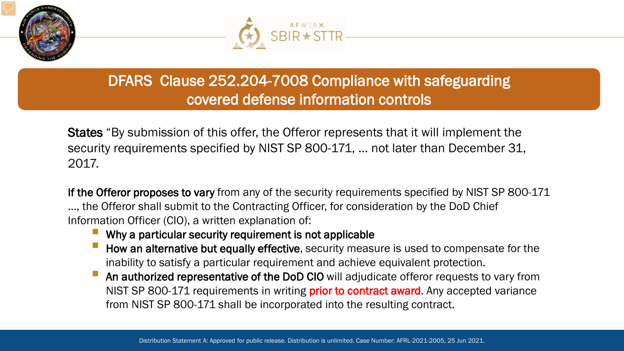



### DFARS Clause 252.204-7008 Compliance with safeguarding covered defense information controls

States "By submission of this offer, the Offeror represents that it will implement the security requirements specified by NIST SP 800-171, … not later than December 31, 2017.

If the Offeror proposes to vary from any of the security requirements specified by NIST SP 800-171 …, the Offeror shall submit to the Contracting Officer, for consideration by the DoD Chief Information Officer (CIO), a written explanation of:

- Why a particular security requirement is not applicable
- How an alternative but equally effective, security measure is used to compensate for the inability to satisfy a particular requirement and achieve equivalent protection.
- An authorized representative of the DoD CIO will adjudicate offeror requests to vary from NIST SP 800-171 requirements in writing **prior to contract award**. Any accepted variance from NIST SP 800-171 shall be incorporated into the resulting contract.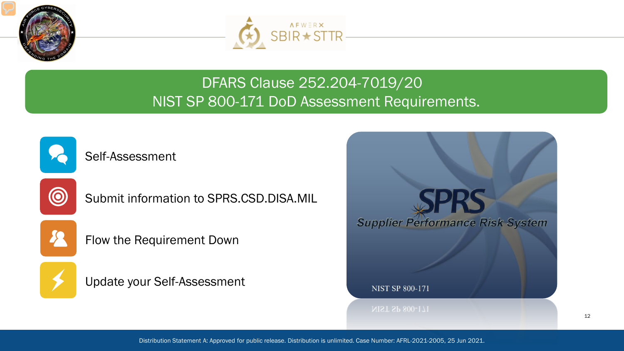



### DFARS Clause 252.204-7019/20 NIST SP 800-171 DoD Assessment Requirements.



Self-Assessment



Submit information to SPRS.CSD.DISA.MIL



Flow the Requirement Down



Update your Self-Assessment

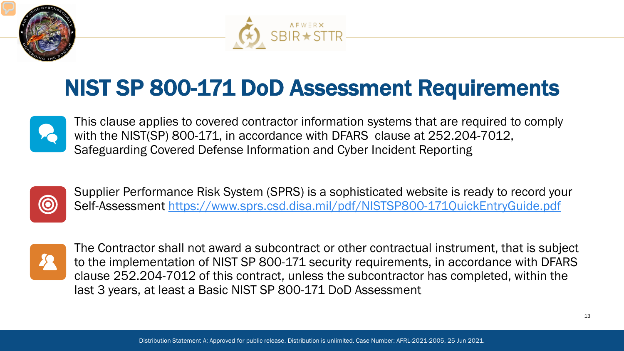



### NIST SP 800-171 DoD Assessment Requirements



This clause applies to covered contractor information systems that are required to comply with the NIST(SP) 800-171, in accordance with DFARS clause at 252.204-7012, Safeguarding Covered Defense Information and Cyber Incident Reporting



Supplier Performance Risk System (SPRS) is a sophisticated website is ready to record your Self-Assessment<https://www.sprs.csd.disa.mil/pdf/NISTSP800-171QuickEntryGuide.pdf>



The Contractor shall not award a subcontract or other contractual instrument, that is subject to the implementation of NIST SP 800-171 security requirements, in accordance with DFARS clause 252.204-7012 of this contract, unless the subcontractor has completed, within the last 3 years, at least a Basic NIST SP 800-171 DoD Assessment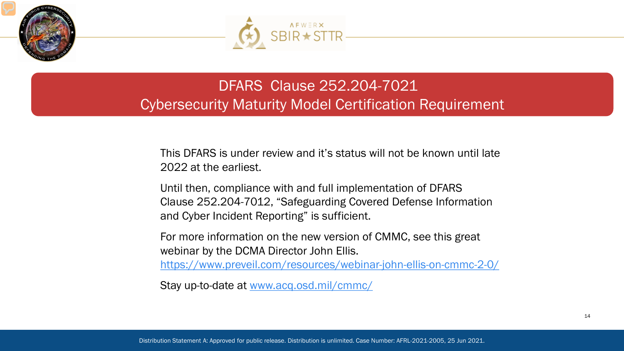



### DFARS Clause 252.204-7021 Cybersecurity Maturity Model Certification Requirement

This DFARS is under review and it's status will not be known until late 2022 at the earliest.

Until then, compliance with and full implementation of DFARS Clause 252.204-7012, "Safeguarding Covered Defense Information and Cyber Incident Reporting" is sufficient.

For more information on the new version of CMMC, see this great webinar by the DCMA Director John Ellis. <https://www.preveil.com/resources/webinar-john-ellis-on-cmmc-2-0/>

Stay up-to-date at [www.acq.osd.mil/cmmc/](http://www.acq.osd.mil/cmmc/)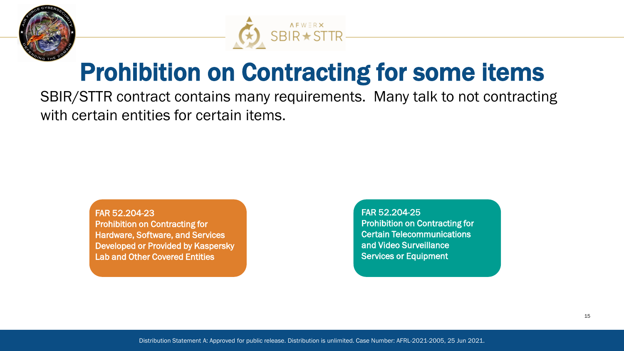



## Prohibition on Contracting for some items

SBIR/STTR contract contains many requirements. Many talk to not contracting with certain entities for certain items.

> FAR 52.204-23 Prohibition on Contracting for Hardware, Software, and Services Developed or Provided by Kaspersky Lab and Other Covered Entities

FAR 52.204-25 Prohibition on Contracting for Certain Telecommunications and Video Surveillance Services or Equipment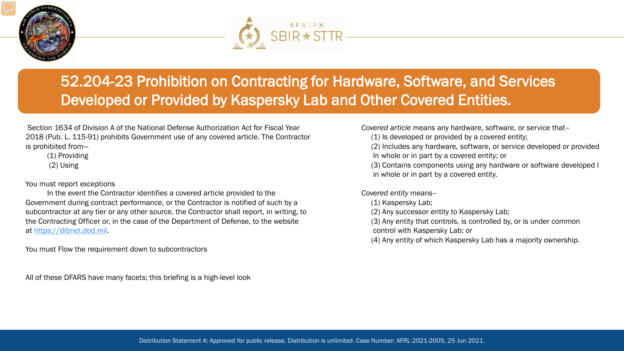



### 52.204-23 Prohibition on Contracting for Hardware, Software, and Services Developed or Provided by Kaspersky Lab and Other Covered Entities.

Section 1634 of Division A of the National Defense Authorization Act for Fiscal Year 2018 (Pub. L. 115-91) prohibits Government use of any covered article. The Contractor is prohibited from—

(1) Providing (2) Using

#### You must report exceptions

In the event the Contractor identifies a covered article provided to the Government during contract performance, or the Contractor is notified of such by a subcontractor at any tier or any other source, the Contractor shall report, in writing, to the Contracting Officer or, in the case of the Department of Defense, to the website at [https://dibnet.dod.mil.](https://dibnet.dod.mil/)

You must Flow the requirement down to subcontractors

All of these DFARS have many facets; this briefing is a high-level look

*Covered article* means any hardware, software, or service that–

- (1) Is developed or provided by a covered entity;
- (2) Includes any hardware, software, or service developed or provided In whole or in part by a covered entity; or
- (3) Contains components using any hardware or software developed I in whole or in part by a covered entity.

#### *Covered entity* means–

- (1) Kaspersky Lab;
- (2) Any successor entity to Kaspersky Lab;
- (3) Any entity that controls, is controlled by, or is under common
- control with Kaspersky Lab; or
- (4) Any entity of which Kaspersky Lab has a majority ownership.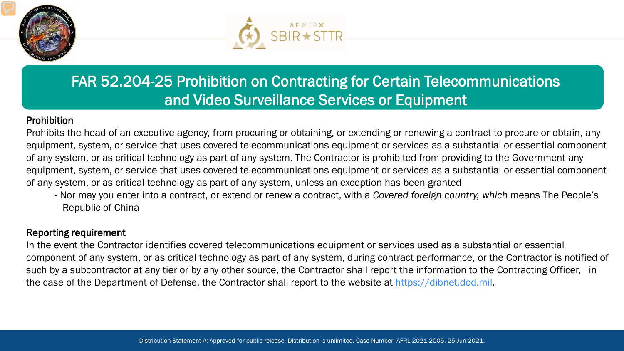



### FAR 52.204-25 Prohibition on Contracting for Certain Telecommunications and Video Surveillance Services or Equipment

#### Prohibition

Prohibits the head of an executive agency, from procuring or obtaining, or extending or renewing a contract to procure or obtain, any equipment, system, or service that uses covered telecommunications equipment or services as a substantial or essential component of any system, or as critical technology as part of any system. The Contractor is prohibited from providing to the Government any equipment, system, or service that uses covered telecommunications equipment or services as a substantial or essential component of any system, or as critical technology as part of any system, unless an exception has been granted

- Nor may you enter into a contract, or extend or renew a contract, with a *Covered foreign country, which* means The People's Republic of China

#### Reporting requirement

In the event the Contractor identifies covered telecommunications equipment or services used as a substantial or essential component of any system, or as critical technology as part of any system, during contract performance, or the Contractor is notified of such by a subcontractor at any tier or by any other source, the Contractor shall report the information to the Contracting Officer, in the case of the Department of Defense, the Contractor shall report to the website at [https://dibnet.dod.mil.](https://dibnet.dod.mil/)